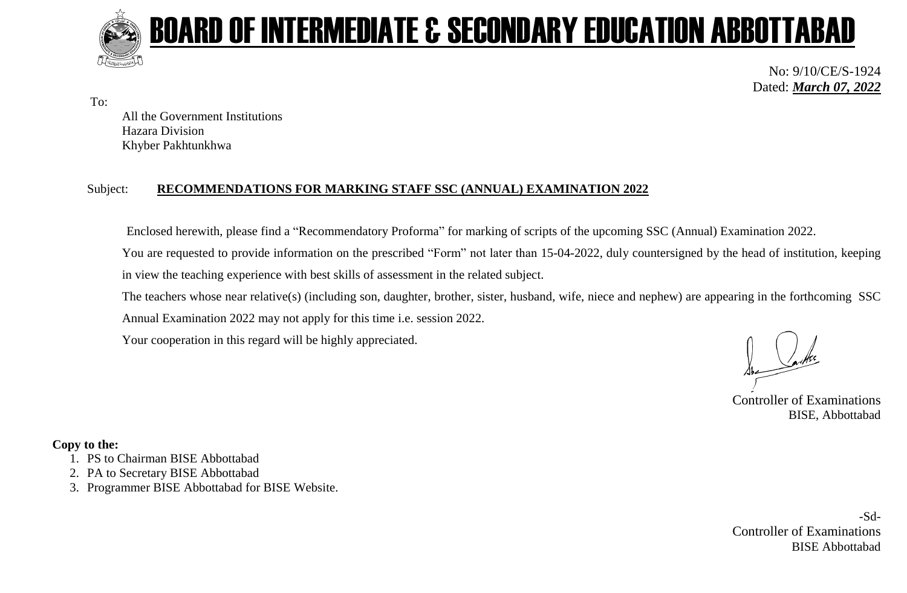

To:

# BOARD OF INTERMEDIATE & SECONDARY EDUCATION ABBOTTABAD

No: 9/10/CE/S-1924 Dated: *March 07, 2022*

All the Government Institutions Hazara Division Khyber Pakhtunkhwa

#### Subject: **RECOMMENDATIONS FOR MARKING STAFF SSC (ANNUAL) EXAMINATION 2022**

Enclosed herewith, please find a "Recommendatory Proforma" for marking of scripts of the upcoming SSC (Annual) Examination 2022.

You are requested to provide information on the prescribed "Form" not later than 15-04-2022, duly countersigned by the head of institution, keeping in view the teaching experience with best skills of assessment in the related subject.

The teachers whose near relative(s) (including son, daughter, brother, sister, husband, wife, niece and nephew) are appearing in the forthcoming SSC Annual Examination 2022 may not apply for this time i.e. session 2022.

Your cooperation in this regard will be highly appreciated.

Controller of Examinations BISE, Abbottabad

#### **Copy to the:**

- 1. PS to Chairman BISE Abbottabad
- 2. PA to Secretary BISE Abbottabad
- 3. Programmer BISE Abbottabad for BISE Website.

-Sd-Controller of Examinations BISE Abbottabad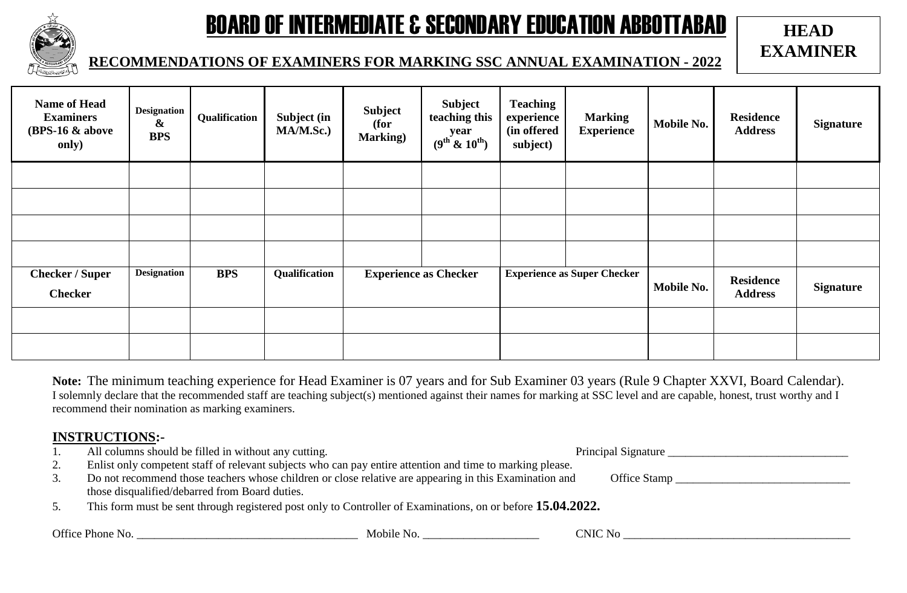

## BOARD OF INTERMEDIATE & SECONDARY EDUCATION ABBOTTABAD

### **HEAD EXAMINER**

#### **RECOMMENDATIONS OF EXAMINERS FOR MARKING SSC ANNUAL EXAMINATION - 2022**

| <b>Name of Head</b><br><b>Examiners</b><br>$(BPS-16 \& above$<br>only) | <b>Designation</b><br>&<br><b>BPS</b> | Qualification | Subject (in<br>MA/M.Sc.) | <b>Subject</b><br>(for<br><b>Marking</b> ) | <b>Subject</b><br>teaching this<br>year<br>(9 <sup>th</sup> & 10 <sup>th</sup> ) | <b>Teaching</b><br>experience<br>(in offered<br>subject) | <b>Marking</b><br><b>Experience</b> | <b>Mobile No.</b> | <b>Residence</b><br><b>Address</b> | <b>Signature</b> |
|------------------------------------------------------------------------|---------------------------------------|---------------|--------------------------|--------------------------------------------|----------------------------------------------------------------------------------|----------------------------------------------------------|-------------------------------------|-------------------|------------------------------------|------------------|
|                                                                        |                                       |               |                          |                                            |                                                                                  |                                                          |                                     |                   |                                    |                  |
|                                                                        |                                       |               |                          |                                            |                                                                                  |                                                          |                                     |                   |                                    |                  |
|                                                                        |                                       |               |                          |                                            |                                                                                  |                                                          |                                     |                   |                                    |                  |
|                                                                        |                                       |               |                          |                                            |                                                                                  |                                                          |                                     |                   |                                    |                  |
| <b>Checker / Super</b><br><b>Checker</b>                               | <b>Designation</b>                    | <b>BPS</b>    | Qualification            | <b>Experience as Checker</b>               |                                                                                  | <b>Experience as Super Checker</b>                       |                                     | Mobile No.        | <b>Residence</b><br><b>Address</b> | <b>Signature</b> |
|                                                                        |                                       |               |                          |                                            |                                                                                  |                                                          |                                     |                   |                                    |                  |
|                                                                        |                                       |               |                          |                                            |                                                                                  |                                                          |                                     |                   |                                    |                  |

**Note:** The minimum teaching experience for Head Examiner is 07 years and for Sub Examiner 03 years (Rule 9 Chapter XXVI, Board Calendar). I solemnly declare that the recommended staff are teaching subject(s) mentioned against their names for marking at SSC level and are capable, honest, trust worthy and I recommend their nomination as marking examiners.

#### **INSTRUCTIONS:-**

| 1.               | All columns should be filled in without any cutting.                                                                   | Principal Signature |  |  |  |  |  |  |
|------------------|------------------------------------------------------------------------------------------------------------------------|---------------------|--|--|--|--|--|--|
| 2.               | Enlist only competent staff of relevant subjects who can pay entire attention and time to marking please.              |                     |  |  |  |  |  |  |
| $\mathfrak{I}$ . | Do not recommend those teachers whose children or close relative are appearing in this Examination and<br>Office Stamp |                     |  |  |  |  |  |  |
|                  | those disqualified/debarred from Board duties.                                                                         |                     |  |  |  |  |  |  |
| 5.               | This form must be sent through registered post only to Controller of Examinations, on or before 15.04.2022.            |                     |  |  |  |  |  |  |
|                  | Office Phone No.<br>Mobile No.                                                                                         | <b>CNIC No</b>      |  |  |  |  |  |  |